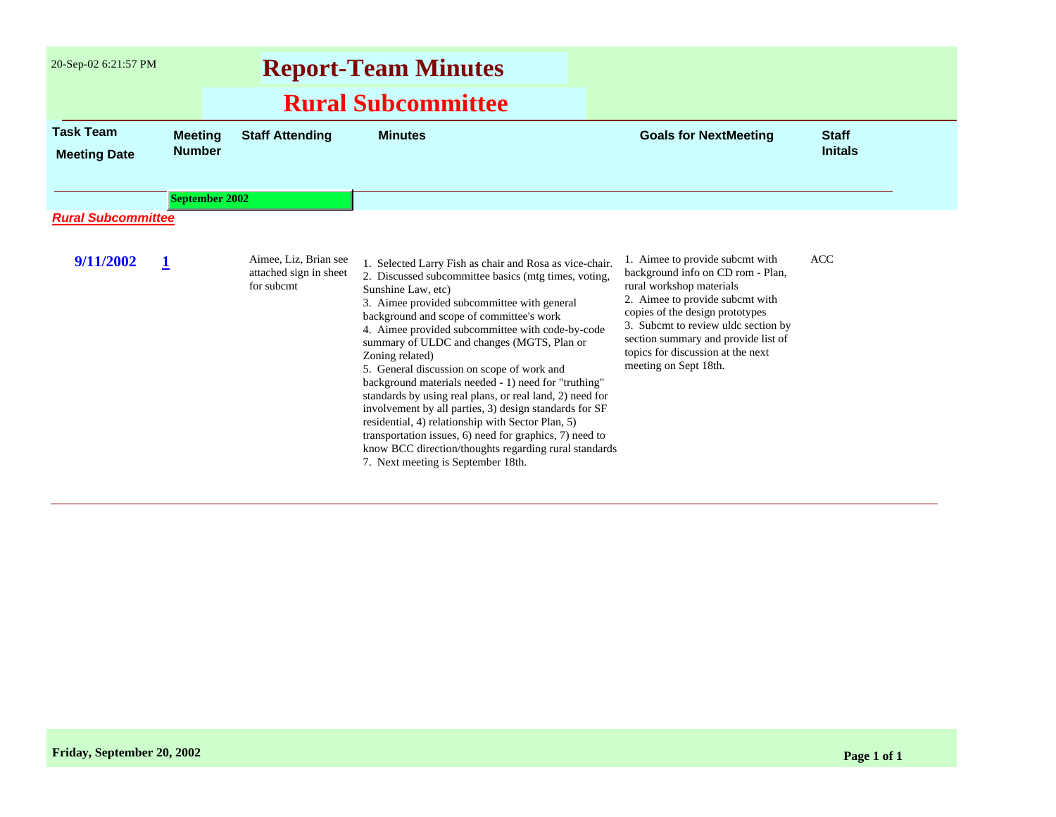| 20-Sep-02 6:21:57 PM                    | <b>Report-Team Minutes</b><br><b>Rural Subcommittee</b> |                                                               |                                                                                                                                                                                                                                                                                                                                                                                                                                                                                                                                                                                                                                                                                                                                                                                                  |                                                                                                                                                                                                                                                                                                                    |                                |
|-----------------------------------------|---------------------------------------------------------|---------------------------------------------------------------|--------------------------------------------------------------------------------------------------------------------------------------------------------------------------------------------------------------------------------------------------------------------------------------------------------------------------------------------------------------------------------------------------------------------------------------------------------------------------------------------------------------------------------------------------------------------------------------------------------------------------------------------------------------------------------------------------------------------------------------------------------------------------------------------------|--------------------------------------------------------------------------------------------------------------------------------------------------------------------------------------------------------------------------------------------------------------------------------------------------------------------|--------------------------------|
|                                         |                                                         |                                                               |                                                                                                                                                                                                                                                                                                                                                                                                                                                                                                                                                                                                                                                                                                                                                                                                  |                                                                                                                                                                                                                                                                                                                    |                                |
| <b>Task Team</b><br><b>Meeting Date</b> | <b>Meeting</b><br><b>Number</b>                         | <b>Staff Attending</b>                                        | <b>Minutes</b>                                                                                                                                                                                                                                                                                                                                                                                                                                                                                                                                                                                                                                                                                                                                                                                   | <b>Goals for NextMeeting</b>                                                                                                                                                                                                                                                                                       | <b>Staff</b><br><b>Initals</b> |
| <b>September 2002</b>                   |                                                         |                                                               |                                                                                                                                                                                                                                                                                                                                                                                                                                                                                                                                                                                                                                                                                                                                                                                                  |                                                                                                                                                                                                                                                                                                                    |                                |
| <b>Rural Subcommittee</b>               |                                                         |                                                               |                                                                                                                                                                                                                                                                                                                                                                                                                                                                                                                                                                                                                                                                                                                                                                                                  |                                                                                                                                                                                                                                                                                                                    |                                |
| 9/11/2002                               |                                                         | Aimee, Liz, Brian see<br>attached sign in sheet<br>for subcmt | 1. Selected Larry Fish as chair and Rosa as vice-chair.<br>2. Discussed subcommittee basics (mtg times, voting,<br>Sunshine Law, etc)<br>3. Aimee provided subcommittee with general<br>background and scope of committee's work<br>4. Aimee provided subcommittee with code-by-code<br>summary of ULDC and changes (MGTS, Plan or<br>Zoning related)<br>5. General discussion on scope of work and<br>background materials needed - 1) need for "truthing"<br>standards by using real plans, or real land, 2) need for<br>involvement by all parties, 3) design standards for SF<br>residential, 4) relationship with Sector Plan, 5)<br>transportation issues, 6) need for graphics, 7) need to<br>know BCC direction/thoughts regarding rural standards<br>7. Next meeting is September 18th. | 1. Aimee to provide subcmt with<br>background info on CD rom - Plan,<br>rural workshop materials<br>2. Aimee to provide subcmt with<br>copies of the design prototypes<br>3. Subcmt to review uldc section by<br>section summary and provide list of<br>topics for discussion at the next<br>meeting on Sept 18th. | <b>ACC</b>                     |